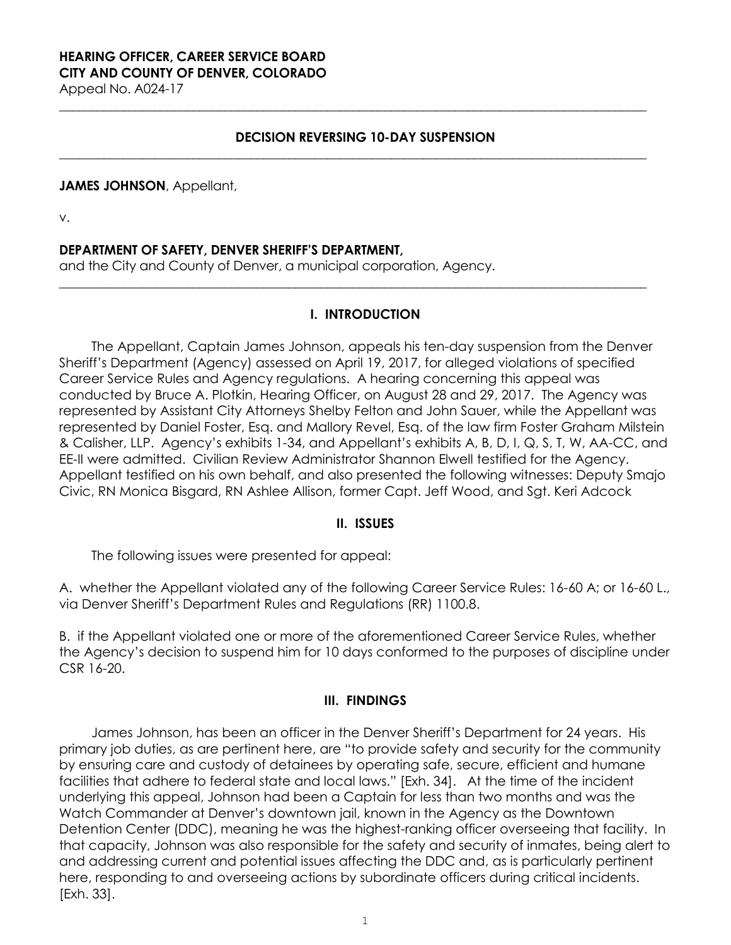# **HEARING OFFICER, CAREER SERVICE BOARD CITY AND COUNTY OF DENVER, COLORADO**

Appeal No. A024-17

### **DECISION REVERSING 10-DAY SUSPENSION**

**\_\_\_\_\_\_\_\_\_\_\_\_\_\_\_\_\_\_\_\_\_\_\_\_\_\_\_\_\_\_\_\_\_\_\_\_\_\_\_\_\_\_\_\_\_\_\_\_\_\_\_\_\_\_\_\_\_\_\_\_\_\_\_\_\_\_\_\_\_\_\_\_\_\_\_\_\_\_\_\_\_\_\_\_\_\_\_\_\_\_\_\_**

**\_\_\_\_\_\_\_\_\_\_\_\_\_\_\_\_\_\_\_\_\_\_\_\_\_\_\_\_\_\_\_\_\_\_\_\_\_\_\_\_\_\_\_\_\_\_\_\_\_\_\_\_\_\_\_\_\_\_\_\_\_\_\_\_\_\_\_\_\_\_\_\_\_\_\_\_\_\_\_\_\_\_\_\_\_\_\_\_\_\_\_\_**

#### **JAMES JOHNSON**, Appellant,

v.

### **DEPARTMENT OF SAFETY, DENVER SHERIFF'S DEPARTMENT,**

and the City and County of Denver, a municipal corporation, Agency.

### **I. INTRODUCTION**

**\_\_\_\_\_\_\_\_\_\_\_\_\_\_\_\_\_\_\_\_\_\_\_\_\_\_\_\_\_\_\_\_\_\_\_\_\_\_\_\_\_\_\_\_\_\_\_\_\_\_\_\_\_\_\_\_\_\_\_\_\_\_\_\_\_\_\_\_\_\_\_\_\_\_\_\_\_\_\_\_\_\_\_\_\_\_\_\_\_\_\_\_**

The Appellant, Captain James Johnson, appeals his ten-day suspension from the Denver Sheriff's Department (Agency) assessed on April 19, 2017, for alleged violations of specified Career Service Rules and Agency regulations. A hearing concerning this appeal was conducted by Bruce A. Plotkin, Hearing Officer, on August 28 and 29, 2017. The Agency was represented by Assistant City Attorneys Shelby Felton and John Sauer, while the Appellant was represented by Daniel Foster, Esq. and Mallory Revel, Esq. of the law firm Foster Graham Milstein & Calisher, LLP. Agency's exhibits 1-34, and Appellant's exhibits A, B, D, I, Q, S, T, W, AA-CC, and EE-II were admitted. Civilian Review Administrator Shannon Elwell testified for the Agency. Appellant testified on his own behalf, and also presented the following witnesses: Deputy Smajo Civic, RN Monica Bisgard, RN Ashlee Allison, former Capt. Jeff Wood, and Sgt. Keri Adcock

#### **II. ISSUES**

The following issues were presented for appeal:

A. whether the Appellant violated any of the following Career Service Rules: 16-60 A; or 16-60 L., via Denver Sheriff's Department Rules and Regulations (RR) 1100.8.

B. if the Appellant violated one or more of the aforementioned Career Service Rules, whether the Agency's decision to suspend him for 10 days conformed to the purposes of discipline under CSR 16-20.

### **III. FINDINGS**

James Johnson, has been an officer in the Denver Sheriff's Department for 24 years. His primary job duties, as are pertinent here, are "to provide safety and security for the community by ensuring care and custody of detainees by operating safe, secure, efficient and humane facilities that adhere to federal state and local laws." [Exh. 34]. At the time of the incident underlying this appeal, Johnson had been a Captain for less than two months and was the Watch Commander at Denver's downtown jail, known in the Agency as the Downtown Detention Center (DDC), meaning he was the highest-ranking officer overseeing that facility. In that capacity, Johnson was also responsible for the safety and security of inmates, being alert to and addressing current and potential issues affecting the DDC and, as is particularly pertinent here, responding to and overseeing actions by subordinate officers during critical incidents. [Exh. 33].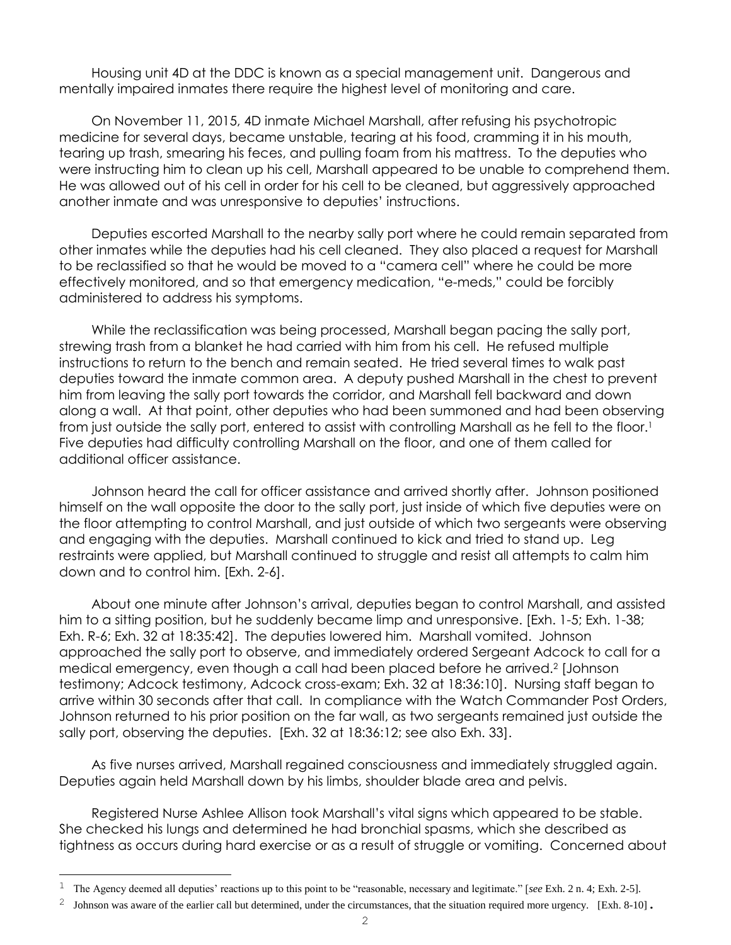Housing unit 4D at the DDC is known as a special management unit. Dangerous and mentally impaired inmates there require the highest level of monitoring and care.

On November 11, 2015, 4D inmate Michael Marshall, after refusing his psychotropic medicine for several days, became unstable, tearing at his food, cramming it in his mouth, tearing up trash, smearing his feces, and pulling foam from his mattress. To the deputies who were instructing him to clean up his cell, Marshall appeared to be unable to comprehend them. He was allowed out of his cell in order for his cell to be cleaned, but aggressively approached another inmate and was unresponsive to deputies' instructions.

Deputies escorted Marshall to the nearby sally port where he could remain separated from other inmates while the deputies had his cell cleaned. They also placed a request for Marshall to be reclassified so that he would be moved to a "camera cell" where he could be more effectively monitored, and so that emergency medication, "e-meds," could be forcibly administered to address his symptoms.

While the reclassification was being processed, Marshall began pacing the sally port, strewing trash from a blanket he had carried with him from his cell. He refused multiple instructions to return to the bench and remain seated. He tried several times to walk past deputies toward the inmate common area. A deputy pushed Marshall in the chest to prevent him from leaving the sally port towards the corridor, and Marshall fell backward and down along a wall. At that point, other deputies who had been summoned and had been observing from just outside the sally port, entered to assist with controlling Marshall as he fell to the floor.<sup>1</sup> Five deputies had difficulty controlling Marshall on the floor, and one of them called for additional officer assistance.

Johnson heard the call for officer assistance and arrived shortly after. Johnson positioned himself on the wall opposite the door to the sally port, just inside of which five deputies were on the floor attempting to control Marshall, and just outside of which two sergeants were observing and engaging with the deputies. Marshall continued to kick and tried to stand up. Leg restraints were applied, but Marshall continued to struggle and resist all attempts to calm him down and to control him. [Exh. 2-6].

About one minute after Johnson's arrival, deputies began to control Marshall, and assisted him to a sitting position, but he suddenly became limp and unresponsive. [Exh. 1-5; Exh. 1-38; Exh. R-6; Exh. 32 at 18:35:42]. The deputies lowered him. Marshall vomited. Johnson approached the sally port to observe, and immediately ordered Sergeant Adcock to call for a medical emergency, even though a call had been placed before he arrived.<sup>2</sup> [Johnson testimony; Adcock testimony, Adcock cross-exam; Exh. 32 at 18:36:10]. Nursing staff began to arrive within 30 seconds after that call. In compliance with the Watch Commander Post Orders, Johnson returned to his prior position on the far wall, as two sergeants remained just outside the sally port, observing the deputies. [Exh. 32 at 18:36:12; see also Exh. 33].

As five nurses arrived, Marshall regained consciousness and immediately struggled again. Deputies again held Marshall down by his limbs, shoulder blade area and pelvis.

Registered Nurse Ashlee Allison took Marshall's vital signs which appeared to be stable. She checked his lungs and determined he had bronchial spasms, which she described as tightness as occurs during hard exercise or as a result of struggle or vomiting. Concerned about

L,

<sup>1</sup> The Agency deemed all deputies' reactions up to this point to be "reasonable, necessary and legitimate." [*see* Exh. 2 n. 4; Exh. 2-5].

<sup>&</sup>lt;sup>2</sup> Johnson was aware of the earlier call but determined, under the circumstances, that the situation required more urgency. [Exh. 8-10].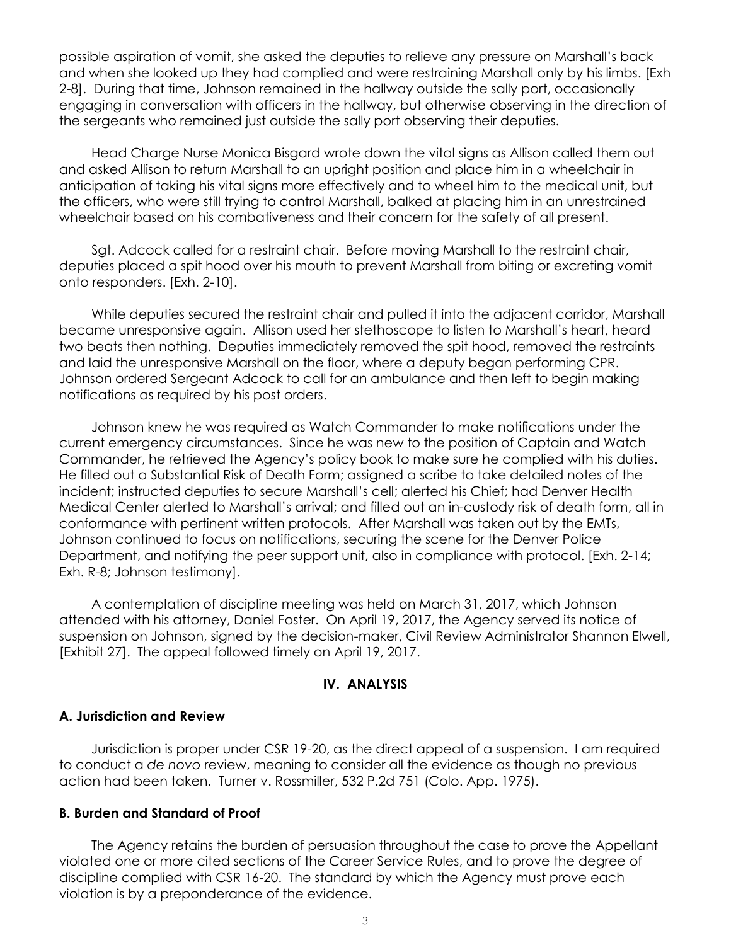possible aspiration of vomit, she asked the deputies to relieve any pressure on Marshall's back and when she looked up they had complied and were restraining Marshall only by his limbs. [Exh 2-8]. During that time, Johnson remained in the hallway outside the sally port, occasionally engaging in conversation with officers in the hallway, but otherwise observing in the direction of the sergeants who remained just outside the sally port observing their deputies.

Head Charge Nurse Monica Bisgard wrote down the vital signs as Allison called them out and asked Allison to return Marshall to an upright position and place him in a wheelchair in anticipation of taking his vital signs more effectively and to wheel him to the medical unit, but the officers, who were still trying to control Marshall, balked at placing him in an unrestrained wheelchair based on his combativeness and their concern for the safety of all present.

Sgt. Adcock called for a restraint chair. Before moving Marshall to the restraint chair, deputies placed a spit hood over his mouth to prevent Marshall from biting or excreting vomit onto responders. [Exh. 2-10].

While deputies secured the restraint chair and pulled it into the adjacent corridor, Marshall became unresponsive again. Allison used her stethoscope to listen to Marshall's heart, heard two beats then nothing. Deputies immediately removed the spit hood, removed the restraints and laid the unresponsive Marshall on the floor, where a deputy began performing CPR. Johnson ordered Sergeant Adcock to call for an ambulance and then left to begin making notifications as required by his post orders.

Johnson knew he was required as Watch Commander to make notifications under the current emergency circumstances. Since he was new to the position of Captain and Watch Commander, he retrieved the Agency's policy book to make sure he complied with his duties. He filled out a Substantial Risk of Death Form; assigned a scribe to take detailed notes of the incident; instructed deputies to secure Marshall's cell; alerted his Chief; had Denver Health Medical Center alerted to Marshall's arrival; and filled out an in-custody risk of death form, all in conformance with pertinent written protocols. After Marshall was taken out by the EMTs, Johnson continued to focus on notifications, securing the scene for the Denver Police Department, and notifying the peer support unit, also in compliance with protocol. [Exh. 2-14; Exh. R-8; Johnson testimony].

A contemplation of discipline meeting was held on March 31, 2017, which Johnson attended with his attorney, Daniel Foster. On April 19, 2017, the Agency served its notice of suspension on Johnson, signed by the decision-maker, Civil Review Administrator Shannon Elwell, [Exhibit 27]. The appeal followed timely on April 19, 2017.

#### **IV. ANALYSIS**

#### **A. Jurisdiction and Review**

Jurisdiction is proper under CSR 19-20, as the direct appeal of a suspension. I am required to conduct a *de novo* review, meaning to consider all the evidence as though no previous action had been taken. Turner v. Rossmiller, 532 P.2d 751 (Colo. App. 1975).

#### **B. Burden and Standard of Proof**

The Agency retains the burden of persuasion throughout the case to prove the Appellant violated one or more cited sections of the Career Service Rules, and to prove the degree of discipline complied with CSR 16-20. The standard by which the Agency must prove each violation is by a preponderance of the evidence.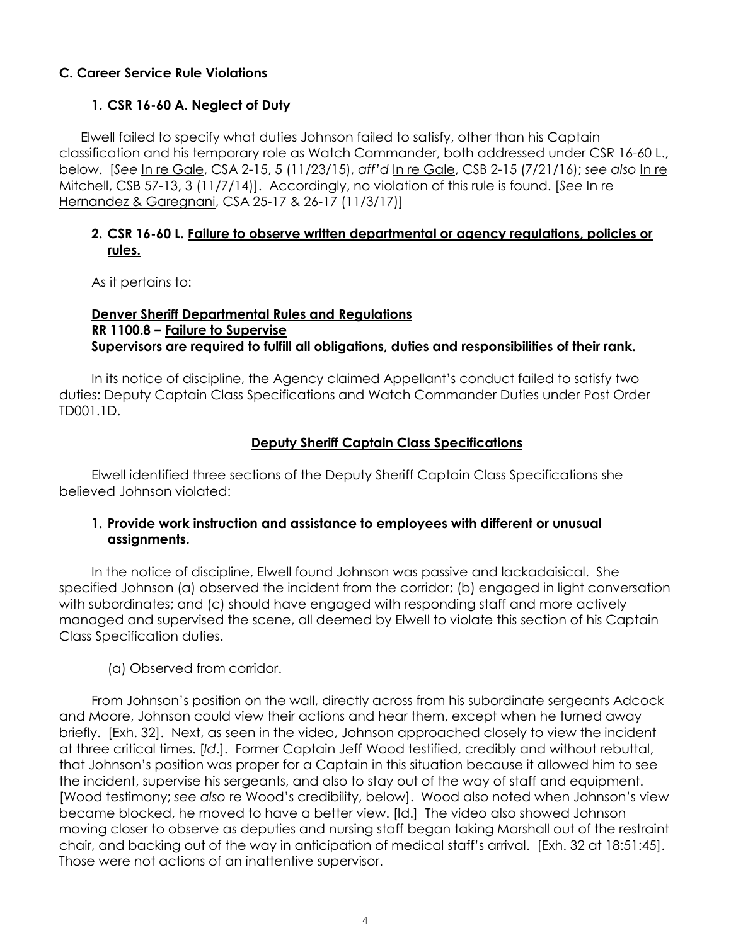## **C. Career Service Rule Violations**

## **1. CSR 16-60 A. Neglect of Duty**

Elwell failed to specify what duties Johnson failed to satisfy, other than his Captain classification and his temporary role as Watch Commander, both addressed under CSR 16-60 L., below. [*See* In re Gale, CSA 2-15, 5 (11/23/15), *aff'd* In re Gale, CSB 2-15 (7/21/16); *see also* In re Mitchell, CSB 57-13, 3 (11/7/14)]. Accordingly, no violation of this rule is found. [*See* In re Hernandez & Garegnani, CSA 25-17 & 26-17 (11/3/17)]

## **2. CSR 16-60 L. Failure to observe written departmental or agency regulations, policies or rules.**

As it pertains to:

## **Denver Sheriff Departmental Rules and Regulations RR 1100.8 – Failure to Supervise Supervisors are required to fulfill all obligations, duties and responsibilities of their rank.**

In its notice of discipline, the Agency claimed Appellant's conduct failed to satisfy two duties: Deputy Captain Class Specifications and Watch Commander Duties under Post Order TD001.1D.

## **Deputy Sheriff Captain Class Specifications**

Elwell identified three sections of the Deputy Sheriff Captain Class Specifications she believed Johnson violated:

## **1. Provide work instruction and assistance to employees with different or unusual assignments.**

In the notice of discipline, Elwell found Johnson was passive and lackadaisical. She specified Johnson (a) observed the incident from the corridor; (b) engaged in light conversation with subordinates; and (c) should have engaged with responding staff and more actively managed and supervised the scene, all deemed by Elwell to violate this section of his Captain Class Specification duties.

## (a) Observed from corridor.

From Johnson's position on the wall, directly across from his subordinate sergeants Adcock and Moore, Johnson could view their actions and hear them, except when he turned away briefly. [Exh. 32].Next, as seen in the video, Johnson approached closely to view the incident at three critical times. [*Id*.].Former Captain Jeff Wood testified, credibly and without rebuttal, that Johnson's position was proper for a Captain in this situation because it allowed him to see the incident, supervise his sergeants, and also to stay out of the way of staff and equipment. [Wood testimony; *see also* re Wood's credibility, below]. Wood also noted when Johnson's view became blocked, he moved to have a better view. [Id.] The video also showed Johnson moving closer to observe as deputies and nursing staff began taking Marshall out of the restraint chair, and backing out of the way in anticipation of medical staff's arrival. [Exh. 32 at 18:51:45]. Those were not actions of an inattentive supervisor.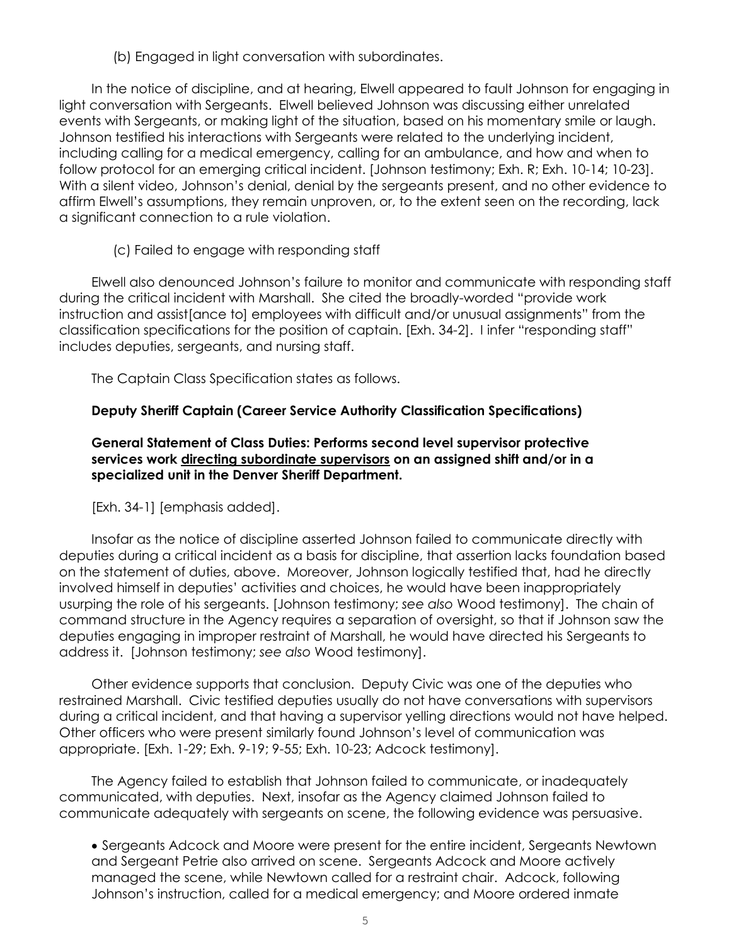(b) Engaged in light conversation with subordinates.

In the notice of discipline, and at hearing, Elwell appeared to fault Johnson for engaging in light conversation with Sergeants. Elwell believed Johnson was discussing either unrelated events with Sergeants, or making light of the situation, based on his momentary smile or laugh. Johnson testified his interactions with Sergeants were related to the underlying incident, including calling for a medical emergency, calling for an ambulance, and how and when to follow protocol for an emerging critical incident. [Johnson testimony; Exh. R; Exh. 10-14; 10-23]. With a silent video, Johnson's denial, denial by the sergeants present, and no other evidence to affirm Elwell's assumptions, they remain unproven, or, to the extent seen on the recording, lack a significant connection to a rule violation.

## (c) Failed to engage with responding staff

Elwell also denounced Johnson's failure to monitor and communicate with responding staff during the critical incident with Marshall. She cited the broadly-worded "provide work instruction and assist[ance to] employees with difficult and/or unusual assignments" from the classification specifications for the position of captain. [Exh. 34-2]. I infer "responding staff" includes deputies, sergeants, and nursing staff.

The Captain Class Specification states as follows.

## **Deputy Sheriff Captain (Career Service Authority Classification Specifications)**

**General Statement of Class Duties: Performs second level supervisor protective services work directing subordinate supervisors on an assigned shift and/or in a specialized unit in the Denver Sheriff Department.** 

[Exh. 34-1] [emphasis added].

Insofar as the notice of discipline asserted Johnson failed to communicate directly with deputies during a critical incident as a basis for discipline, that assertion lacks foundation based on the statement of duties, above. Moreover, Johnson logically testified that, had he directly involved himself in deputies' activities and choices, he would have been inappropriately usurping the role of his sergeants. [Johnson testimony; *see also* Wood testimony]. The chain of command structure in the Agency requires a separation of oversight, so that if Johnson saw the deputies engaging in improper restraint of Marshall, he would have directed his Sergeants to address it. [Johnson testimony; *see also* Wood testimony].

Other evidence supports that conclusion. Deputy Civic was one of the deputies who restrained Marshall. Civic testified deputies usually do not have conversations with supervisors during a critical incident, and that having a supervisor yelling directions would not have helped. Other officers who were present similarly found Johnson's level of communication was appropriate. [Exh. 1-29; Exh. 9-19; 9-55; Exh. 10-23; Adcock testimony].

The Agency failed to establish that Johnson failed to communicate, or inadequately communicated, with deputies. Next, insofar as the Agency claimed Johnson failed to communicate adequately with sergeants on scene, the following evidence was persuasive.

• Sergeants Adcock and Moore were present for the entire incident, Sergeants Newtown and Sergeant Petrie also arrived on scene. Sergeants Adcock and Moore actively managed the scene, while Newtown called for a restraint chair. Adcock, following Johnson's instruction, called for a medical emergency; and Moore ordered inmate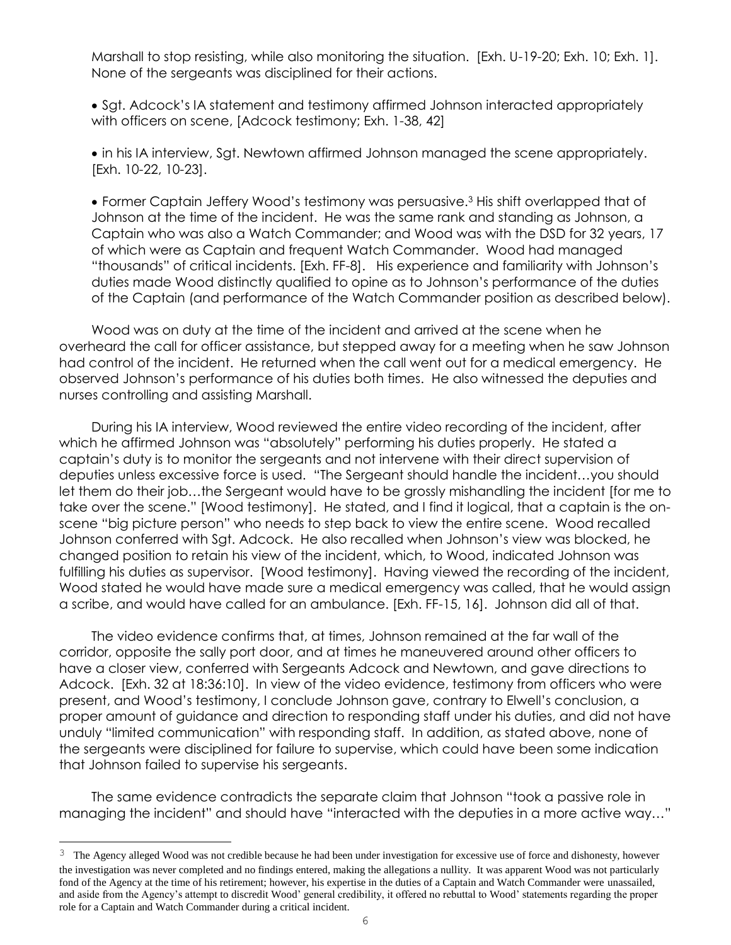Marshall to stop resisting, while also monitoring the situation. [Exh. U-19-20; Exh. 10; Exh. 1]. None of the sergeants was disciplined for their actions.

• Sgt. Adcock's IA statement and testimony affirmed Johnson interacted appropriately with officers on scene, [Adcock testimony; Exh. 1-38, 42]

• in his IA interview, Sgt. Newtown affirmed Johnson managed the scene appropriately. [Exh. 10-22, 10-23].

• Former Captain Jeffery Wood's testimony was persuasive.<sup>3</sup> His shift overlapped that of Johnson at the time of the incident. He was the same rank and standing as Johnson, a Captain who was also a Watch Commander; and Wood was with the DSD for 32 years, 17 of which were as Captain and frequent Watch Commander. Wood had managed "thousands" of critical incidents. [Exh. FF-8]. His experience and familiarity with Johnson's duties made Wood distinctly qualified to opine as to Johnson's performance of the duties of the Captain (and performance of the Watch Commander position as described below).

Wood was on duty at the time of the incident and arrived at the scene when he overheard the call for officer assistance, but stepped away for a meeting when he saw Johnson had control of the incident. He returned when the call went out for a medical emergency. He observed Johnson's performance of his duties both times.He also witnessed the deputies and nurses controlling and assisting Marshall.

During his IA interview, Wood reviewed the entire video recording of the incident, after which he affirmed Johnson was "absolutely" performing his duties properly. He stated a captain's duty is to monitor the sergeants and not intervene with their direct supervision of deputies unless excessive force is used."The Sergeant should handle the incident…you should let them do their job…the Sergeant would have to be grossly mishandling the incident [for me to take over the scene." [Wood testimony].He stated, and I find it logical, that a captain is the onscene "big picture person" who needs to step back to view the entire scene. Wood recalled Johnson conferred with Sgt. Adcock. He also recalled when Johnson's view was blocked, he changed position to retain his view of the incident, which, to Wood, indicated Johnson was fulfilling his duties as supervisor. [Wood testimony]. Having viewed the recording of the incident, Wood stated he would have made sure a medical emergency was called, that he would assign a scribe, and would have called for an ambulance. [Exh. FF-15, 16]. Johnson did all of that.

The video evidence confirms that, at times, Johnson remained at the far wall of the corridor, opposite the sally port door, and at times he maneuvered around other officers to have a closer view, conferred with Sergeants Adcock and Newtown, and gave directions to Adcock. [Exh. 32 at 18:36:10].In view of the video evidence, testimony from officers who were present, and Wood's testimony, I conclude Johnson gave, contrary to Elwell's conclusion, a proper amount of guidance and direction to responding staff under his duties, and did not have unduly "limited communication" with responding staff. In addition, as stated above, none of the sergeants were disciplined for failure to supervise, which could have been some indication that Johnson failed to supervise his sergeants.

The same evidence contradicts the separate claim that Johnson "took a passive role in managing the incident" and should have "interacted with the deputies in a more active way…"

L,

<sup>&</sup>lt;sup>3</sup> The Agency alleged Wood was not credible because he had been under investigation for excessive use of force and dishonesty, however the investigation was never completed and no findings entered, making the allegations a nullity. It was apparent Wood was not particularly fond of the Agency at the time of his retirement; however, his expertise in the duties of a Captain and Watch Commander were unassailed, and aside from the Agency's attempt to discredit Wood' general credibility, it offered no rebuttal to Wood' statements regarding the proper role for a Captain and Watch Commander during a critical incident.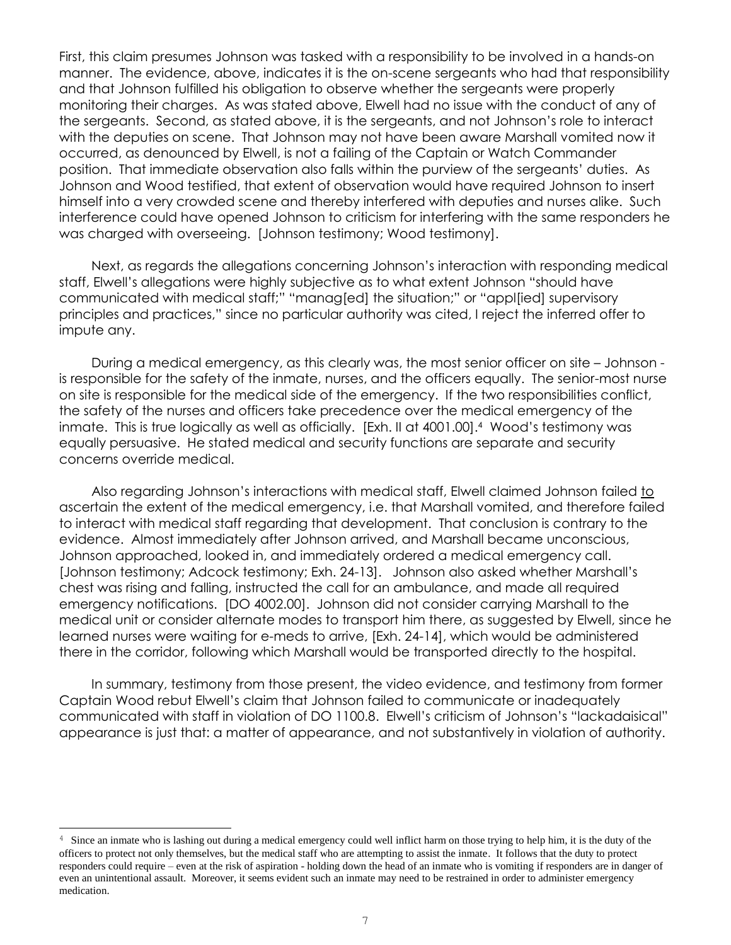First, this claim presumes Johnson was tasked with a responsibility to be involved in a hands-on manner. The evidence, above, indicates it is the on-scene sergeants who had that responsibility and that Johnson fulfilled his obligation to observe whether the sergeants were properly monitoring their charges. As was stated above, Elwell had no issue with the conduct of any of the sergeants. Second, as stated above, it is the sergeants, and not Johnson's role to interact with the deputies on scene. That Johnson may not have been aware Marshall vomited now it occurred, as denounced by Elwell, is not a failing of the Captain or Watch Commander position. That immediate observation also falls within the purview of the sergeants' duties. As Johnson and Wood testified, that extent of observation would have required Johnson to insert himself into a very crowded scene and thereby interfered with deputies and nurses alike. Such interference could have opened Johnson to criticism for interfering with the same responders he was charged with overseeing. [Johnson testimony; Wood testimony].

Next, as regards the allegations concerning Johnson's interaction with responding medical staff, Elwell's allegations were highly subjective as to what extent Johnson "should have communicated with medical staff;" "manag[ed] the situation;" or "appl[ied] supervisory principles and practices," since no particular authority was cited, I reject the inferred offer to impute any.

During a medical emergency, as this clearly was, the most senior officer on site – Johnson is responsible for the safety of the inmate, nurses, and the officers equally. The senior-most nurse on site is responsible for the medical side of the emergency. If the two responsibilities conflict, the safety of the nurses and officers take precedence over the medical emergency of the inmate. This is true logically as well as officially. [Exh. II at 4001.00].<sup>4</sup> Wood's testimony was equally persuasive. He stated medical and security functions are separate and security concerns override medical.

Also regarding Johnson's interactions with medical staff, Elwell claimed Johnson failed to ascertain the extent of the medical emergency, i.e. that Marshall vomited, and therefore failed to interact with medical staff regarding that development. That conclusion is contrary to the evidence. Almost immediately after Johnson arrived, and Marshall became unconscious, Johnson approached, looked in, and immediately ordered a medical emergency call. [Johnson testimony; Adcock testimony; Exh. 24-13]. Johnson also asked whether Marshall's chest was rising and falling, instructed the call for an ambulance, and made all required emergency notifications. [DO 4002.00]. Johnson did not consider carrying Marshall to the medical unit or consider alternate modes to transport him there, as suggested by Elwell, since he learned nurses were waiting for e-meds to arrive, [Exh. 24-14], which would be administered there in the corridor, following which Marshall would be transported directly to the hospital.

In summary, testimony from those present, the video evidence, and testimony from former Captain Wood rebut Elwell's claim that Johnson failed to communicate or inadequately communicated with staff in violation of DO 1100.8. Elwell's criticism of Johnson's "lackadaisical" appearance is just that: a matter of appearance, and not substantively in violation of authority.

L

<sup>&</sup>lt;sup>4</sup> Since an inmate who is lashing out during a medical emergency could well inflict harm on those trying to help him, it is the duty of the officers to protect not only themselves, but the medical staff who are attempting to assist the inmate. It follows that the duty to protect responders could require – even at the risk of aspiration - holding down the head of an inmate who is vomiting if responders are in danger of even an unintentional assault. Moreover, it seems evident such an inmate may need to be restrained in order to administer emergency medication.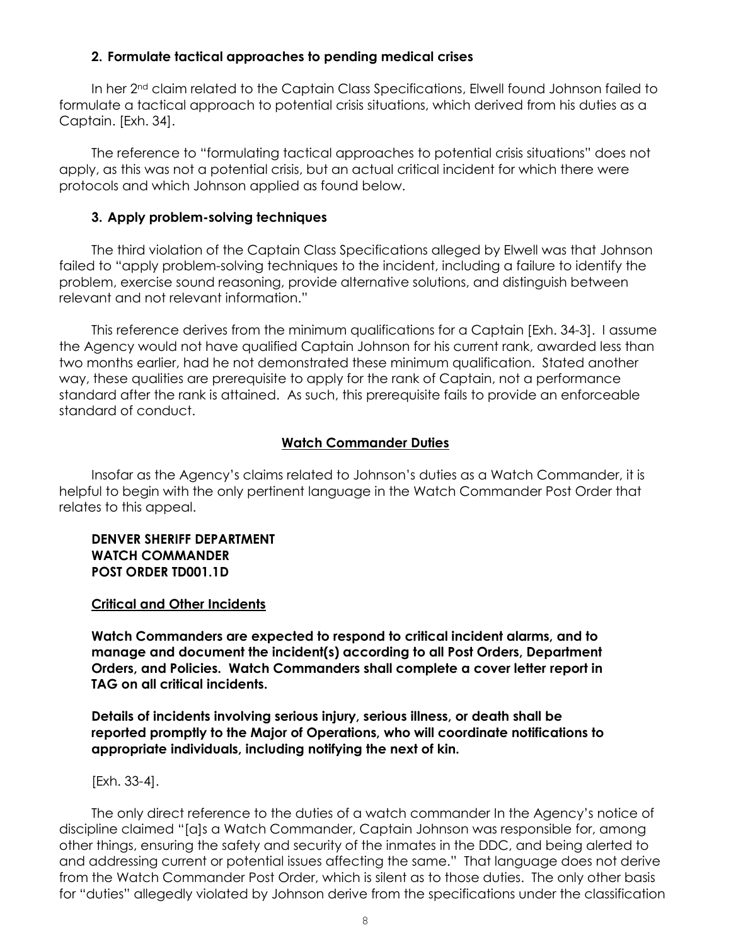## **2. Formulate tactical approaches to pending medical crises**

In her 2<sup>nd</sup> claim related to the Captain Class Specifications, Elwell found Johnson failed to formulate a tactical approach to potential crisis situations, which derived from his duties as a Captain. [Exh. 34].

The reference to "formulating tactical approaches to potential crisis situations" does not apply, as this was not a potential crisis, but an actual critical incident for which there were protocols and which Johnson applied as found below.

## **3. Apply problem-solving techniques**

The third violation of the Captain Class Specifications alleged by Elwell was that Johnson failed to "apply problem-solving techniques to the incident, including a failure to identify the problem, exercise sound reasoning, provide alternative solutions, and distinguish between relevant and not relevant information."

This reference derives from the minimum qualifications for a Captain [Exh. 34-3]. I assume the Agency would not have qualified Captain Johnson for his current rank, awarded less than two months earlier, had he not demonstrated these minimum qualification. Stated another way, these qualities are prerequisite to apply for the rank of Captain, not a performance standard after the rank is attained. As such, this prerequisite fails to provide an enforceable standard of conduct.

## **Watch Commander Duties**

Insofar as the Agency's claims related to Johnson's duties as a Watch Commander, it is helpful to begin with the only pertinent language in the Watch Commander Post Order that relates to this appeal.

### **DENVER SHERIFF DEPARTMENT WATCH COMMANDER POST ORDER TD001.1D**

### **Critical and Other Incidents**

**Watch Commanders are expected to respond to critical incident alarms, and to manage and document the incident(s) according to all Post Orders, Department Orders, and Policies. Watch Commanders shall complete a cover letter report in TAG on all critical incidents.** 

**Details of incidents involving serious injury, serious illness, or death shall be reported promptly to the Major of Operations, who will coordinate notifications to appropriate individuals, including notifying the next of kin.** 

[Exh. 33-4].

The only direct reference to the duties of a watch commander In the Agency's notice of discipline claimed "[a]s a Watch Commander, Captain Johnson was responsible for, among other things, ensuring the safety and security of the inmates in the DDC, and being alerted to and addressing current or potential issues affecting the same." That language does not derive from the Watch Commander Post Order, which is silent as to those duties. The only other basis for "duties" allegedly violated by Johnson derive from the specifications under the classification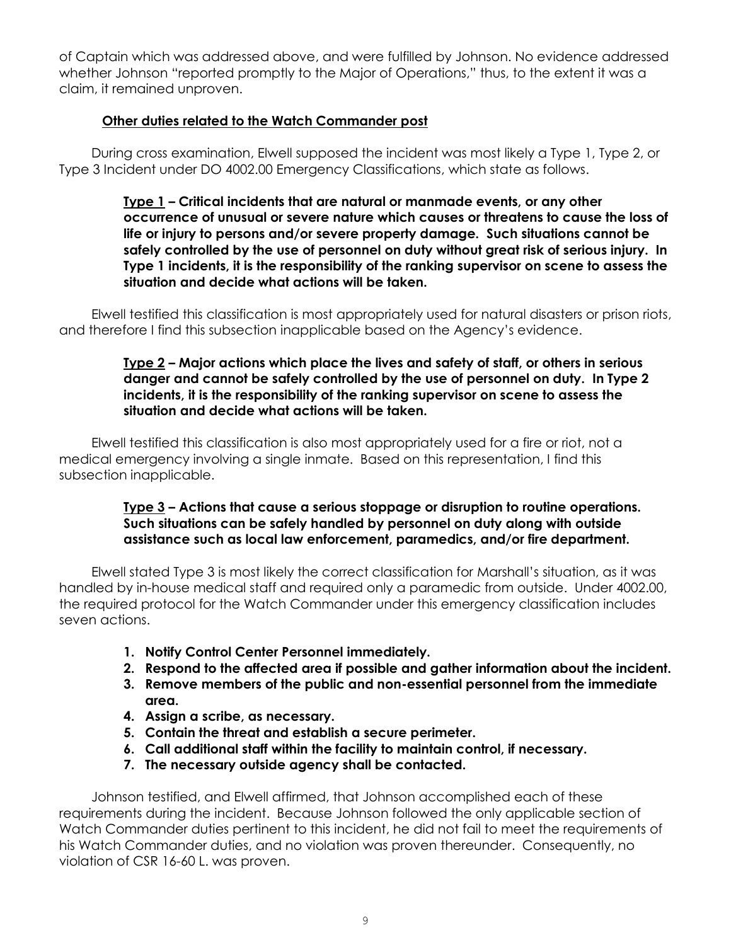of Captain which was addressed above, and were fulfilled by Johnson. No evidence addressed whether Johnson "reported promptly to the Major of Operations," thus, to the extent it was a claim, it remained unproven.

## **Other duties related to the Watch Commander post**

During cross examination, Elwell supposed the incident was most likely a Type 1, Type 2, or Type 3 Incident under DO 4002.00 Emergency Classifications, which state as follows.

> **Type 1 – Critical incidents that are natural or manmade events, or any other occurrence of unusual or severe nature which causes or threatens to cause the loss of life or injury to persons and/or severe property damage. Such situations cannot be safely controlled by the use of personnel on duty without great risk of serious injury. In Type 1 incidents, it is the responsibility of the ranking supervisor on scene to assess the situation and decide what actions will be taken.**

Elwell testified this classification is most appropriately used for natural disasters or prison riots, and therefore I find this subsection inapplicable based on the Agency's evidence.

## **Type 2 – Major actions which place the lives and safety of staff, or others in serious danger and cannot be safely controlled by the use of personnel on duty. In Type 2 incidents, it is the responsibility of the ranking supervisor on scene to assess the situation and decide what actions will be taken.**

Elwell testified this classification is also most appropriately used for a fire or riot, not a medical emergency involving a single inmate. Based on this representation, I find this subsection inapplicable.

> **Type 3 – Actions that cause a serious stoppage or disruption to routine operations. Such situations can be safely handled by personnel on duty along with outside assistance such as local law enforcement, paramedics, and/or fire department.**

Elwell stated Type 3 is most likely the correct classification for Marshall's situation, as it was handled by in-house medical staff and required only a paramedic from outside. Under 4002.00, the required protocol for the Watch Commander under this emergency classification includes seven actions.

- **1. Notify Control Center Personnel immediately.**
- **2. Respond to the affected area if possible and gather information about the incident.**
- **3. Remove members of the public and non-essential personnel from the immediate area.**
- **4. Assign a scribe, as necessary.**
- **5. Contain the threat and establish a secure perimeter.**
- **6. Call additional staff within the facility to maintain control, if necessary.**
- **7. The necessary outside agency shall be contacted.**

Johnson testified, and Elwell affirmed, that Johnson accomplished each of these requirements during the incident. Because Johnson followed the only applicable section of Watch Commander duties pertinent to this incident, he did not fail to meet the requirements of his Watch Commander duties, and no violation was proven thereunder. Consequently, no violation of CSR 16-60 L. was proven.